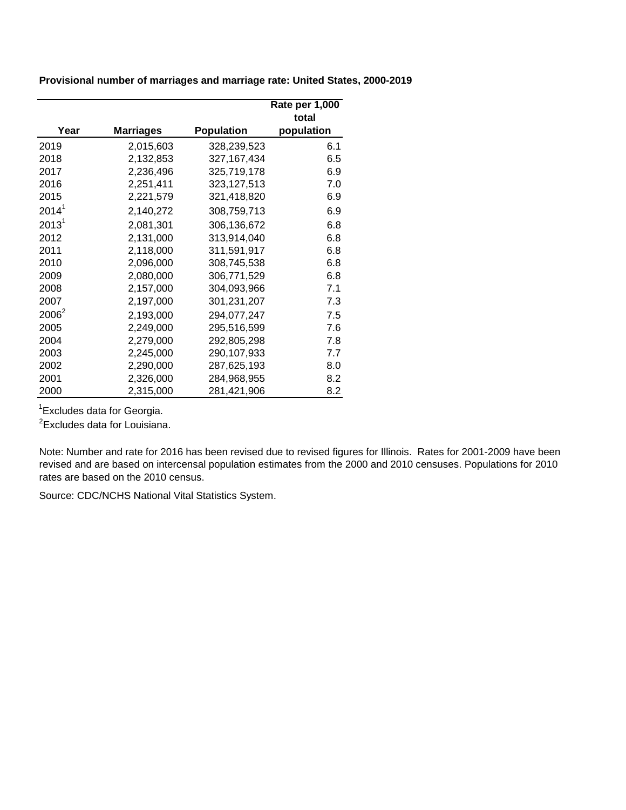**Provisional number of marriages and marriage rate: United States, 2000-2019**

|                   |                  |                   | Rate per 1,000 |
|-------------------|------------------|-------------------|----------------|
|                   |                  |                   | total          |
| Year              | <b>Marriages</b> | <b>Population</b> | population     |
| 2019              | 2,015,603        | 328,239,523       | 6.1            |
| 2018              | 2,132,853        | 327, 167, 434     | 6.5            |
| 2017              | 2,236,496        | 325,719,178       | 6.9            |
| 2016              | 2,251,411        | 323,127,513       | 7.0            |
| 2015              | 2,221,579        | 321,418,820       | 6.9            |
| 2014 <sup>1</sup> | 2,140,272        | 308,759,713       | 6.9            |
| 2013 <sup>1</sup> | 2,081,301        | 306,136,672       | 6.8            |
| 2012              | 2,131,000        | 313,914,040       | 6.8            |
| 2011              | 2,118,000        | 311,591,917       | 6.8            |
| 2010              | 2,096,000        | 308,745,538       | 6.8            |
| 2009              | 2,080,000        | 306,771,529       | 6.8            |
| 2008              | 2,157,000        | 304,093,966       | 7.1            |
| 2007              | 2,197,000        | 301,231,207       | 7.3            |
| 2006 <sup>2</sup> | 2,193,000        | 294,077,247       | 7.5            |
| 2005              | 2,249,000        | 295,516,599       | 7.6            |
| 2004              | 2,279,000        | 292,805,298       | 7.8            |
| 2003              | 2,245,000        | 290,107,933       | 7.7            |
| 2002              | 2,290,000        | 287,625,193       | 8.0            |
| 2001              | 2,326,000        | 284,968,955       | 8.2            |
| 2000              | 2,315,000        | 281,421,906       | 8.2            |

<sup>1</sup> Excludes data for Georgia.

<sup>2</sup>Excludes data for Louisiana.

Note: Number and rate for 2016 has been revised due to revised figures for Illinois. Rates for 2001-2009 have been revised and are based on intercensal population estimates from the 2000 and 2010 censuses. Populations for 2010 rates are based on the 2010 census.

Source: CDC/NCHS National Vital Statistics System.